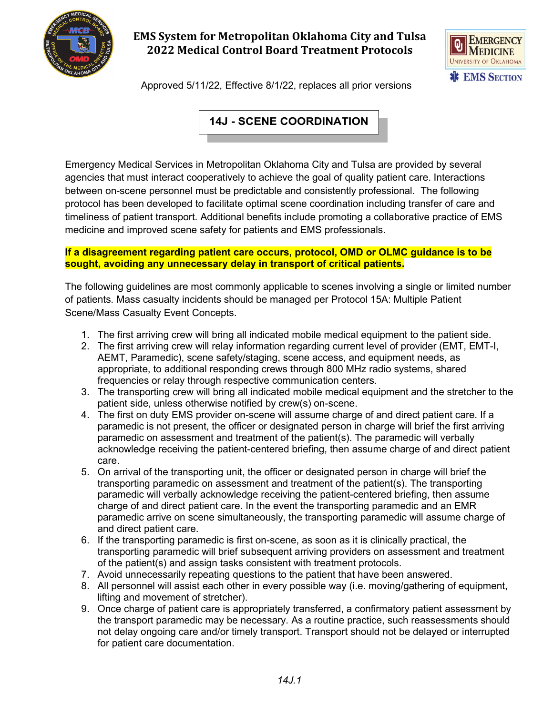

## **EMS System for Metropolitan Oklahoma City and Tulsa 2022 Medical Control Board Treatment Protocols**



Approved 5/11/22, Effective 8/1/22, replaces all prior versions

# **14J - SCENE COORDINATION**

Emergency Medical Services in Metropolitan Oklahoma City and Tulsa are provided by several agencies that must interact cooperatively to achieve the goal of quality patient care. Interactions between on-scene personnel must be predictable and consistently professional. The following protocol has been developed to facilitate optimal scene coordination including transfer of care and timeliness of patient transport. Additional benefits include promoting a collaborative practice of EMS medicine and improved scene safety for patients and EMS professionals.

#### **If a disagreement regarding patient care occurs, protocol, OMD or OLMC guidance is to be sought, avoiding any unnecessary delay in transport of critical patients.**

The following guidelines are most commonly applicable to scenes involving a single or limited number of patients. Mass casualty incidents should be managed per Protocol 15A: Multiple Patient Scene/Mass Casualty Event Concepts.

- 1. The first arriving crew will bring all indicated mobile medical equipment to the patient side.
- 2. The first arriving crew will relay information regarding current level of provider (EMT, EMT-I, AEMT, Paramedic), scene safety/staging, scene access, and equipment needs, as appropriate, to additional responding crews through 800 MHz radio systems, shared frequencies or relay through respective communication centers.
- 3. The transporting crew will bring all indicated mobile medical equipment and the stretcher to the patient side, unless otherwise notified by crew(s) on-scene.
- 4. The first on duty EMS provider on-scene will assume charge of and direct patient care. If a paramedic is not present, the officer or designated person in charge will brief the first arriving paramedic on assessment and treatment of the patient(s). The paramedic will verbally acknowledge receiving the patient-centered briefing, then assume charge of and direct patient care.
- 5. On arrival of the transporting unit, the officer or designated person in charge will brief the transporting paramedic on assessment and treatment of the patient(s). The transporting paramedic will verbally acknowledge receiving the patient-centered briefing, then assume charge of and direct patient care. In the event the transporting paramedic and an EMR paramedic arrive on scene simultaneously, the transporting paramedic will assume charge of and direct patient care.
- 6. If the transporting paramedic is first on-scene, as soon as it is clinically practical, the transporting paramedic will brief subsequent arriving providers on assessment and treatment of the patient(s) and assign tasks consistent with treatment protocols.
- 7. Avoid unnecessarily repeating questions to the patient that have been answered.
- 8. All personnel will assist each other in every possible way (i.e. moving/gathering of equipment, lifting and movement of stretcher).
- 9. Once charge of patient care is appropriately transferred, a confirmatory patient assessment by the transport paramedic may be necessary. As a routine practice, such reassessments should not delay ongoing care and/or timely transport. Transport should not be delayed or interrupted for patient care documentation.